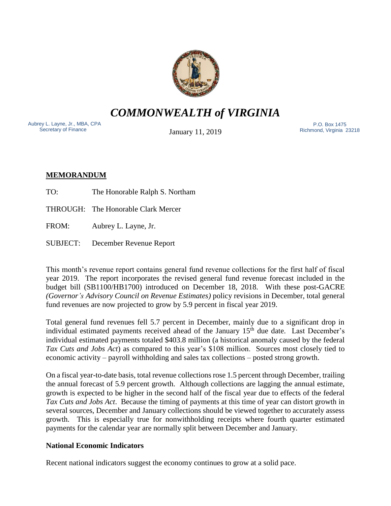

*COMMONWEALTH of VIRGINIA*

Aubrey L. Layne, Jr., MBA, CPA Secretary of Finance

January 11, 2019

 P.O. Box 1475 Richmond, Virginia 23218

# **MEMORANDUM**

- TO: The Honorable Ralph S. Northam
- THROUGH: The Honorable Clark Mercer
- FROM: Aubrey L. Layne, Jr.
- SUBJECT: December Revenue Report

This month's revenue report contains general fund revenue collections for the first half of fiscal year 2019. The report incorporates the revised general fund revenue forecast included in the budget bill (SB1100/HB1700) introduced on December 18, 2018. With these post-GACRE *(Governor's Advisory Council on Revenue Estimates)* policy revisions in December, total general fund revenues are now projected to grow by 5.9 percent in fiscal year 2019.

Total general fund revenues fell 5.7 percent in December, mainly due to a significant drop in individual estimated payments received ahead of the January  $15<sup>th</sup>$  due date. Last December's individual estimated payments totaled \$403.8 million (a historical anomaly caused by the federal *Tax Cuts and Jobs Act*) as compared to this year's \$108 million. Sources most closely tied to economic activity – payroll withholding and sales tax collections – posted strong growth.

On a fiscal year-to-date basis, total revenue collections rose 1.5 percent through December, trailing the annual forecast of 5.9 percent growth. Although collections are lagging the annual estimate, growth is expected to be higher in the second half of the fiscal year due to effects of the federal *Tax Cuts and Jobs Act*. Because the timing of payments at this time of year can distort growth in several sources, December and January collections should be viewed together to accurately assess growth. This is especially true for nonwithholding receipts where fourth quarter estimated payments for the calendar year are normally split between December and January.

## **National Economic Indicators**

Recent national indicators suggest the economy continues to grow at a solid pace.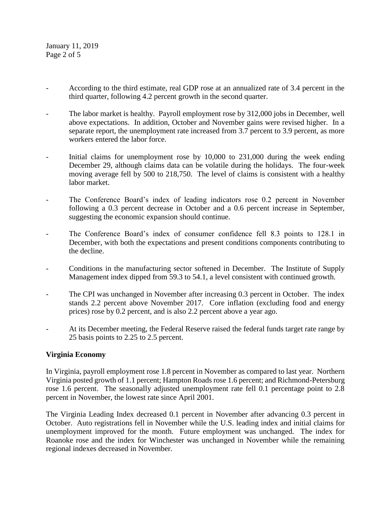January 11, 2019 Page 2 of 5

- According to the third estimate, real GDP rose at an annualized rate of 3.4 percent in the third quarter, following 4.2 percent growth in the second quarter.
- The labor market is healthy. Payroll employment rose by 312,000 jobs in December, well above expectations. In addition, October and November gains were revised higher. In a separate report, the unemployment rate increased from 3.7 percent to 3.9 percent, as more workers entered the labor force.
- Initial claims for unemployment rose by 10,000 to 231,000 during the week ending December 29, although claims data can be volatile during the holidays. The four-week moving average fell by 500 to 218,750. The level of claims is consistent with a healthy labor market.
- The Conference Board's index of leading indicators rose 0.2 percent in November following a 0.3 percent decrease in October and a 0.6 percent increase in September, suggesting the economic expansion should continue.
- The Conference Board's index of consumer confidence fell 8.3 points to 128.1 in December, with both the expectations and present conditions components contributing to the decline.
- Conditions in the manufacturing sector softened in December. The Institute of Supply Management index dipped from 59.3 to 54.1, a level consistent with continued growth.
- The CPI was unchanged in November after increasing 0.3 percent in October. The index stands 2.2 percent above November 2017. Core inflation (excluding food and energy prices) rose by 0.2 percent, and is also 2.2 percent above a year ago.
- At its December meeting, the Federal Reserve raised the federal funds target rate range by 25 basis points to 2.25 to 2.5 percent.

## **Virginia Economy**

In Virginia, payroll employment rose 1.8 percent in November as compared to last year. Northern Virginia posted growth of 1.1 percent; Hampton Roads rose 1.6 percent; and Richmond-Petersburg rose 1.6 percent. The seasonally adjusted unemployment rate fell 0.1 percentage point to 2.8 percent in November, the lowest rate since April 2001.

The Virginia Leading Index decreased 0.1 percent in November after advancing 0.3 percent in October. Auto registrations fell in November while the U.S. leading index and initial claims for unemployment improved for the month. Future employment was unchanged. The index for Roanoke rose and the index for Winchester was unchanged in November while the remaining regional indexes decreased in November.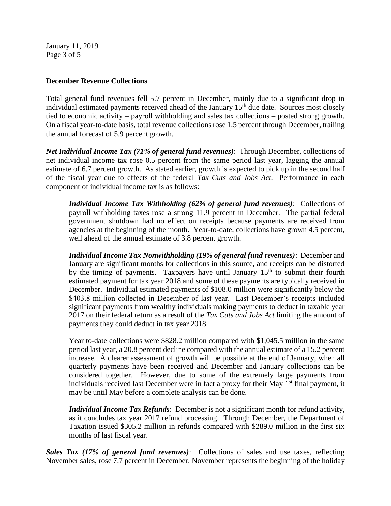January 11, 2019 Page 3 of 5

#### **December Revenue Collections**

Total general fund revenues fell 5.7 percent in December, mainly due to a significant drop in individual estimated payments received ahead of the January  $15<sup>th</sup>$  due date. Sources most closely tied to economic activity – payroll withholding and sales tax collections – posted strong growth. On a fiscal year-to-date basis, total revenue collections rose 1.5 percent through December, trailing the annual forecast of 5.9 percent growth.

*Net Individual Income Tax (71% of general fund revenues)*: Through December, collections of net individual income tax rose 0.5 percent from the same period last year, lagging the annual estimate of 6.7 percent growth. As stated earlier, growth is expected to pick up in the second half of the fiscal year due to effects of the federal *Tax Cuts and Jobs Act*. Performance in each component of individual income tax is as follows:

*Individual Income Tax Withholding (62% of general fund revenues)*: Collections of payroll withholding taxes rose a strong 11.9 percent in December. The partial federal government shutdown had no effect on receipts because payments are received from agencies at the beginning of the month. Year-to-date, collections have grown 4.5 percent, well ahead of the annual estimate of 3.8 percent growth.

*Individual Income Tax Nonwithholding (19% of general fund revenues)*: December and January are significant months for collections in this source, and receipts can be distorted by the timing of payments. Taxpayers have until January  $15<sup>th</sup>$  to submit their fourth estimated payment for tax year 2018 and some of these payments are typically received in December. Individual estimated payments of \$108.0 million were significantly below the \$403.8 million collected in December of last year. Last December's receipts included significant payments from wealthy individuals making payments to deduct in taxable year 2017 on their federal return as a result of the *Tax Cuts and Jobs Act* limiting the amount of payments they could deduct in tax year 2018.

Year to-date collections were \$828.2 million compared with \$1,045.5 million in the same period last year, a 20.8 percent decline compared with the annual estimate of a 15.2 percent increase. A clearer assessment of growth will be possible at the end of January, when all quarterly payments have been received and December and January collections can be considered together. However, due to some of the extremely large payments from individuals received last December were in fact a proxy for their May  $1<sup>st</sup>$  final payment, it may be until May before a complete analysis can be done.

*Individual Income Tax Refunds*: December is not a significant month for refund activity, as it concludes tax year 2017 refund processing. Through December, the Department of Taxation issued \$305.2 million in refunds compared with \$289.0 million in the first six months of last fiscal year.

*Sales Tax (17% of general fund revenues)*: Collections of sales and use taxes, reflecting November sales, rose 7.7 percent in December. November represents the beginning of the holiday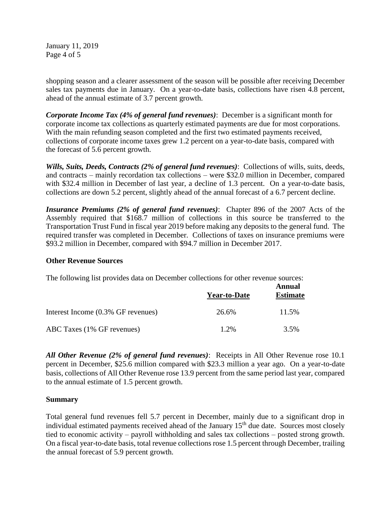January 11, 2019 Page 4 of 5

shopping season and a clearer assessment of the season will be possible after receiving December sales tax payments due in January. On a year-to-date basis, collections have risen 4.8 percent, ahead of the annual estimate of 3.7 percent growth.

*Corporate Income Tax (4% of general fund revenues)*: December is a significant month for corporate income tax collections as quarterly estimated payments are due for most corporations. With the main refunding season completed and the first two estimated payments received, collections of corporate income taxes grew 1.2 percent on a year-to-date basis, compared with the forecast of 5.6 percent growth.

*Wills, Suits, Deeds, Contracts (2% of general fund revenues)*: Collections of wills, suits, deeds, and contracts – mainly recordation tax collections – were \$32.0 million in December, compared with \$32.4 million in December of last year, a decline of 1.3 percent. On a year-to-date basis, collections are down 5.2 percent, slightly ahead of the annual forecast of a 6.7 percent decline.

*Insurance Premiums (2% of general fund revenues)*: Chapter 896 of the 2007 Acts of the Assembly required that \$168.7 million of collections in this source be transferred to the Transportation Trust Fund in fiscal year 2019 before making any deposits to the general fund. The required transfer was completed in December. Collections of taxes on insurance premiums were \$93.2 million in December, compared with \$94.7 million in December 2017.

#### **Other Revenue Sources**

The following list provides data on December collections for other revenue sources:

|                                    | <b>Year-to-Date</b> | Annual<br><b>Estimate</b> |
|------------------------------------|---------------------|---------------------------|
| Interest Income (0.3% GF revenues) | 26.6%               | 11.5%                     |
| ABC Taxes (1% GF revenues)         | $1.2\%$             | 3.5%                      |

*All Other Revenue (2% of general fund revenues)*: Receipts in All Other Revenue rose 10.1 percent in December, \$25.6 million compared with \$23.3 million a year ago. On a year-to-date basis, collections of All Other Revenue rose 13.9 percent from the same period last year, compared to the annual estimate of 1.5 percent growth.

#### **Summary**

Total general fund revenues fell 5.7 percent in December, mainly due to a significant drop in individual estimated payments received ahead of the January  $15<sup>th</sup>$  due date. Sources most closely tied to economic activity – payroll withholding and sales tax collections – posted strong growth. On a fiscal year-to-date basis, total revenue collections rose 1.5 percent through December, trailing the annual forecast of 5.9 percent growth.